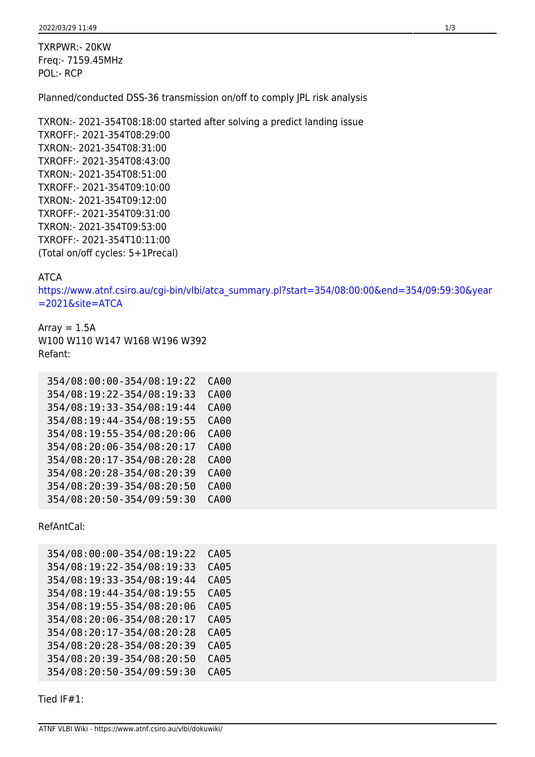TXRPWR:- 20KW Freq:- 7159.45MHz POL:- RCP

Planned/conducted DSS-36 transmission on/off to comply JPL risk analysis

TXRON:- 2021-354T08:18:00 started after solving a predict landing issue TXROFF:- 2021-354T08:29:00 TXRON:- 2021-354T08:31:00 TXROFF:- 2021-354T08:43:00 TXRON:- 2021-354T08:51:00 TXROFF:- 2021-354T09:10:00 TXRON:- 2021-354T09:12:00 TXROFF:- 2021-354T09:31:00 TXRON:- 2021-354T09:53:00 TXROFF:- 2021-354T10:11:00 (Total on/off cycles: 5+1Precal)

## ATCA

[https://www.atnf.csiro.au/cgi-bin/vlbi/atca\\_summary.pl?start=354/08:00:00&end=354/09:59:30&year](https://www.atnf.csiro.au/cgi-bin/vlbi/atca_summary.pl?start=354/08:00:00&end=354/09:59:30&year=2021&site=ATCA) [=2021&site=ATCA](https://www.atnf.csiro.au/cgi-bin/vlbi/atca_summary.pl?start=354/08:00:00&end=354/09:59:30&year=2021&site=ATCA)

Array  $= 1.5A$ W100 W110 W147 W168 W196 W392 Refant:

| 354/08:00:00-354/08:19:22 | CA00        |
|---------------------------|-------------|
| 354/08:19:22-354/08:19:33 | CA00        |
| 354/08:19:33-354/08:19:44 | <b>CA00</b> |
| 354/08:19:44-354/08:19:55 | <b>CA00</b> |
| 354/08:19:55-354/08:20:06 | <b>CA00</b> |
| 354/08:20:06-354/08:20:17 | <b>CA00</b> |
| 354/08:20:17-354/08:20:28 | <b>CA00</b> |
| 354/08:20:28-354/08:20:39 | CA00        |
| 354/08:20:39-354/08:20:50 | CA00        |
| 354/08:20:50-354/09:59:30 | CA00        |

RefAntCal:

| 354/08:00:00-354/08:19:22 | CA05        |
|---------------------------|-------------|
| 354/08:19:22-354/08:19:33 | <b>CA05</b> |
| 354/08:19:33-354/08:19:44 | <b>CA05</b> |
| 354/08:19:44-354/08:19:55 | CA05        |
| 354/08:19:55-354/08:20:06 | <b>CA05</b> |
| 354/08:20:06-354/08:20:17 | CA05        |
| 354/08:20:17-354/08:20:28 | CA05        |
| 354/08:20:28-354/08:20:39 | <b>CA05</b> |
| 354/08:20:39-354/08:20:50 | <b>CA05</b> |
| 354/08:20:50-354/09:59:30 | <b>CA05</b> |

Tied IF#1: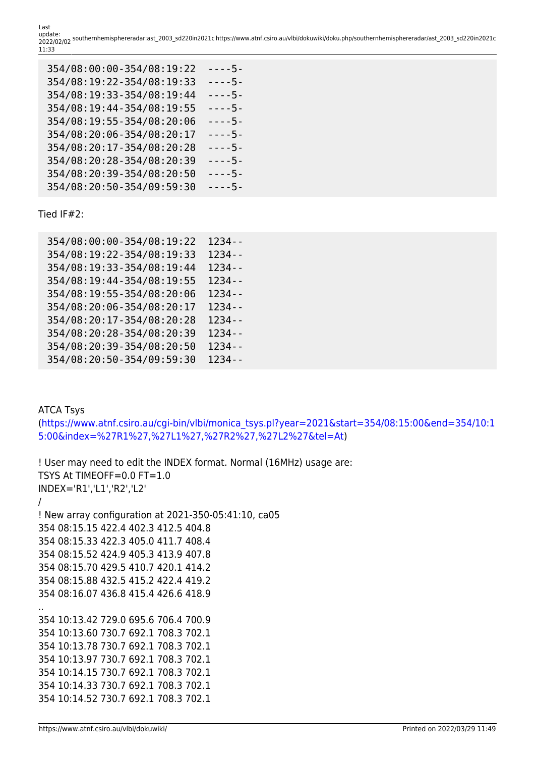Last update: 2022/02/02 southernhemisphereradar:ast\_2003\_sd220in2021c https://www.atnf.csiro.au/vlbi/dokuwiki/doku.php/southernhemisphereradar/ast\_2003\_sd220in2021c 11:33

| 354/08:00:00-354/08:19:22 | - - - - 5 - |
|---------------------------|-------------|
| 354/08:19:22-354/08:19:33 | $--5-$      |
| 354/08:19:33-354/08:19:44 | - - - - 5 - |
| 354/08:19:44-354/08:19:55 | $---5-$     |
| 354/08:19:55-354/08:20:06 | $--5-$      |
| 354/08:20:06-354/08:20:17 | $--5-$      |
| 354/08:20:17-354/08:20:28 | - - - - 5 - |
| 354/08:20:28-354/08:20:39 | $--5-$      |
| 354/08:20:39-354/08:20:50 | $---5-$     |
| 354/08:20:50-354/09:59:30 | $--5-$      |

Tied IF#2:

| 354/08:00:00-354/08:19:22 | $1234 - -$ |
|---------------------------|------------|
| 354/08:19:22-354/08:19:33 | $1234 - -$ |
| 354/08:19:33-354/08:19:44 | $1234 - -$ |
| 354/08:19:44-354/08:19:55 | $1234 - -$ |
| 354/08:19:55-354/08:20:06 | $1234 - -$ |
| 354/08:20:06-354/08:20:17 | $1234 -$   |
| 354/08:20:17-354/08:20:28 | 1234 - -   |
| 354/08:20:28-354/08:20:39 | $1234 - -$ |
| 354/08:20:39-354/08:20:50 | $1234 - -$ |
| 354/08:20:50-354/09:59:30 | $1234 - -$ |
|                           |            |

ATCA Tsys [\(https://www.atnf.csiro.au/cgi-bin/vlbi/monica\\_tsys.pl?year=2021&start=354/08:15:00&end=354/10:1](https://www.atnf.csiro.au/cgi-bin/vlbi/monica_tsys.pl?year=2021&start=354/08:15:00&end=354/10:15:00&index=%27R1%27,%27L1%27,%27R2%27,%27L2%27&tel=At) [5:00&index=%27R1%27,%27L1%27,%27R2%27,%27L2%27&tel=At\)](https://www.atnf.csiro.au/cgi-bin/vlbi/monica_tsys.pl?year=2021&start=354/08:15:00&end=354/10:15:00&index=%27R1%27,%27L1%27,%27R2%27,%27L2%27&tel=At)

```
! User may need to edit the INDEX format. Normal (16MHz) usage are:
TSYS At TIMEOFF=0.0 FT=1.0
INDEX='R1','L1','R2','L2'
/
! New array configuration at 2021-350-05:41:10, ca05
354 08:15.15 422.4 402.3 412.5 404.8
354 08:15.33 422.3 405.0 411.7 408.4
354 08:15.52 424.9 405.3 413.9 407.8
354 08:15.70 429.5 410.7 420.1 414.2
354 08:15.88 432.5 415.2 422.4 419.2
354 08:16.07 436.8 415.4 426.6 418.9
..
354 10:13.42 729.0 695.6 706.4 700.9
354 10:13.60 730.7 692.1 708.3 702.1
354 10:13.78 730.7 692.1 708.3 702.1
354 10:13.97 730.7 692.1 708.3 702.1
354 10:14.15 730.7 692.1 708.3 702.1
354 10:14.33 730.7 692.1 708.3 702.1
354 10:14.52 730.7 692.1 708.3 702.1
```